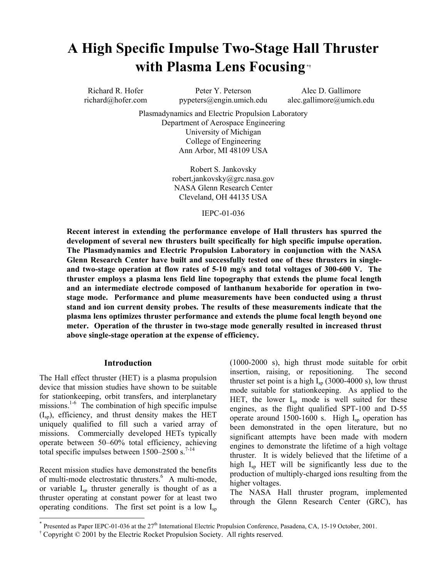# **A High Specific Impulse Two-Stage Hall Thruster with Plasma Lens Focusing \*†**

Richard R. Hofer Peter Y. Peterson Alec D. Gallimore

richard@hofer.com pypeters@engin.umich.edu alec.gallimore@umich.edu

Plasmadynamics and Electric Propulsion Laboratory Department of Aerospace Engineering University of Michigan College of Engineering Ann Arbor, MI 48109 USA

> Robert S. Jankovsky robert.jankovsky@grc.nasa.gov NASA Glenn Research Center Cleveland, OH 44135 USA

#### IEPC-01-036

**Recent interest in extending the performance envelope of Hall thrusters has spurred the development of several new thrusters built specifically for high specific impulse operation. The Plasmadynamics and Electric Propulsion Laboratory in conjunction with the NASA Glenn Research Center have built and successfully tested one of these thrusters in singleand two-stage operation at flow rates of 5-10 mg/s and total voltages of 300-600 V. The thruster employs a plasma lens field line topography that extends the plume focal length and an intermediate electrode composed of lanthanum hexaboride for operation in twostage mode. Performance and plume measurements have been conducted using a thrust stand and ion current density probes. The results of these measurements indicate that the plasma lens optimizes thruster performance and extends the plume focal length beyond one meter. Operation of the thruster in two-stage mode generally resulted in increased thrust above single-stage operation at the expense of efficiency.**

## **Introduction**

The Hall effect thruster (HET) is a plasma propulsion device that mission studies have shown to be suitable for stationkeeping, orbit transfers, and interplanetary missions.<sup>1-6</sup> The combination of high specific impulse  $(I_{\rm SD})$ , efficiency, and thrust density makes the HET uniquely qualified to fill such a varied array of missions. Commercially developed HETs typically operate between 50–60% total efficiency, achieving total specific impulses between  $1500-2500$  s.<sup>7-14</sup>

Recent mission studies have demonstrated the benefits of multi-mode electrostatic thrusters.<sup>6</sup> A multi-mode, or variable Isp thruster generally is thought of as a thruster operating at constant power for at least two operating conditions. The first set point is a low  $I_{\text{sp}}$ 

 $\overline{a}$ 

(1000-2000 s), high thrust mode suitable for orbit insertion, raising, or repositioning. The second thruster set point is a high  $I_{sp}$  (3000-4000 s), low thrust mode suitable for stationkeeping. As applied to the HET, the lower  $I_{sp}$  mode is well suited for these engines, as the flight qualified SPT-100 and D-55 operate around 1500-1600 s. High  $I_{\rm sp}$  operation has been demonstrated in the open literature, but no significant attempts have been made with modern engines to demonstrate the lifetime of a high voltage thruster. It is widely believed that the lifetime of a high  $I_{sp}$  HET will be significantly less due to the production of multiply-charged ions resulting from the higher voltages.

The NASA Hall thruster program, implemented through the Glenn Research Center (GRC), has

Presented as Paper IEPC-01-036 at the 27<sup>th</sup> International Electric Propulsion Conference, Pasadena, CA, 15-19 October, 2001.

<sup>†</sup> Copyright © 2001 by the Electric Rocket Propulsion Society. All rights reserved.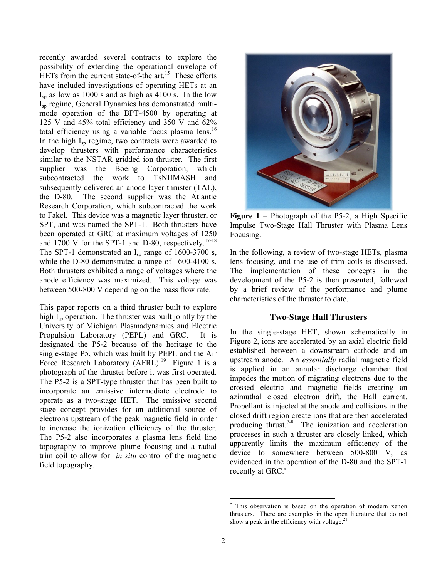recently awarded several contracts to explore the possibility of extending the operational envelope of HETs from the current state-of-the art.<sup>15</sup> These efforts have included investigations of operating HETs at an  $I_{sp}$  as low as 1000 s and as high as 4100 s. In the low Isp regime, General Dynamics has demonstrated multimode operation of the BPT-4500 by operating at 125 V and 45% total efficiency and 350 V and 62% total efficiency using a variable focus plasma lens.<sup>16</sup> In the high  $I_{\rm sn}$  regime, two contracts were awarded to develop thrusters with performance characteristics similar to the NSTAR gridded ion thruster. The first supplier was the Boeing Corporation, which subcontracted the work to TsNIIMASH and subsequently delivered an anode layer thruster (TAL), the D-80. The second supplier was the Atlantic Research Corporation, which subcontracted the work to Fakel. This device was a magnetic layer thruster, or SPT, and was named the SPT-1. Both thrusters have been operated at GRC at maximum voltages of 1250 and 1700 V for the SPT-1 and D-80, respectively.<sup>17-18</sup> The SPT-1 demonstrated an  $I_{sp}$  range of 1600-3700 s, while the D-80 demonstrated a range of 1600-4100 s. Both thrusters exhibited a range of voltages where the anode efficiency was maximized. This voltage was between 500-800 V depending on the mass flow rate.

This paper reports on a third thruster built to explore high  $I_{\rm SD}$  operation. The thruster was built jointly by the University of Michigan Plasmadynamics and Electric Propulsion Laboratory (PEPL) and GRC. It is designated the P5-2 because of the heritage to the single-stage P5, which was built by PEPL and the Air Force Research Laboratory (AFRL).<sup>19</sup> Figure 1 is a photograph of the thruster before it was first operated. The P5-2 is a SPT-type thruster that has been built to incorporate an emissive intermediate electrode to operate as a two-stage HET. The emissive second stage concept provides for an additional source of electrons upstream of the peak magnetic field in order to increase the ionization efficiency of the thruster. The P5-2 also incorporates a plasma lens field line topography to improve plume focusing and a radial trim coil to allow for *in situ* control of the magnetic field topography.



**Figure 1** – Photograph of the P5-2, a High Specific Impulse Two-Stage Hall Thruster with Plasma Lens Focusing.

In the following, a review of two-stage HETs, plasma lens focusing, and the use of trim coils is discussed. The implementation of these concepts in the development of the P5-2 is then presented, followed by a brief review of the performance and plume characteristics of the thruster to date.

## **Two-Stage Hall Thrusters**

In the single-stage HET, shown schematically in Figure 2, ions are accelerated by an axial electric field established between a downstream cathode and an upstream anode. An *essentially* radial magnetic field is applied in an annular discharge chamber that impedes the motion of migrating electrons due to the crossed electric and magnetic fields creating an azimuthal closed electron drift, the Hall current. Propellant is injected at the anode and collisions in the closed drift region create ions that are then accelerated producing thrust.7-8 The ionization and acceleration processes in such a thruster are closely linked, which apparently limits the maximum efficiency of the device to somewhere between 500-800 V, as evidenced in the operation of the D-80 and the SPT-1 recently at GRC.<sup>∗</sup>

 $\overline{a}$ 

<sup>∗</sup> This observation is based on the operation of modern xenon thrusters. There are examples in the open literature that do not show a peak in the efficiency with voltage. $2<sup>1</sup>$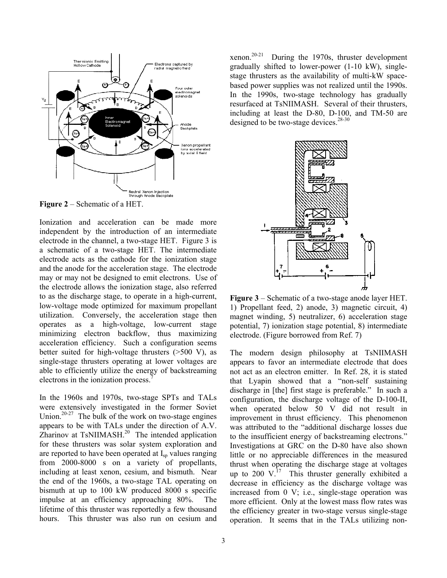

**Figure 2** – Schematic of a HET.

Ionization and acceleration can be made more independent by the introduction of an intermediate electrode in the channel, a two-stage HET. Figure 3 is a schematic of a two-stage HET. The intermediate electrode acts as the cathode for the ionization stage and the anode for the acceleration stage. The electrode may or may not be designed to emit electrons. Use of the electrode allows the ionization stage, also referred to as the discharge stage, to operate in a high-current, low-voltage mode optimized for maximum propellant utilization. Conversely, the acceleration stage then operates as a high-voltage, low-current stage minimizing electron backflow, thus maximizing acceleration efficiency. Such a configuration seems better suited for high-voltage thrusters  $(>=500 V)$ , as single-stage thrusters operating at lower voltages are able to efficiently utilize the energy of backstreaming electrons in the ionization process.<sup>7</sup>

In the 1960s and 1970s, two-stage SPTs and TALs were extensively investigated in the former Soviet Union.<sup>20-27</sup> The bulk of the work on two-stage engines appears to be with TALs under the direction of A.V.  $\overline{Z}$ harinov at TsNIIMASH.<sup>20</sup> The intended application for these thrusters was solar system exploration and are reported to have been operated at I<sub>sp</sub> values ranging from 2000-8000 s on a variety of propellants, including at least xenon, cesium, and bismuth. Near the end of the 1960s, a two-stage TAL operating on bismuth at up to 100 kW produced 8000 s specific impulse at an efficiency approaching 80%. The lifetime of this thruster was reportedly a few thousand hours. This thruster was also run on cesium and

xenon.<sup>20-21</sup> During the 1970s, thruster development gradually shifted to lower-power (1-10 kW), singlestage thrusters as the availability of multi-kW spacebased power supplies was not realized until the 1990s. In the 1990s, two-stage technology has gradually resurfaced at TsNIIMASH. Several of their thrusters, including at least the D-80, D-100, and TM-50 are designed to be two-stage devices.<sup>28-30</sup>



**Figure 3** – Schematic of a two-stage anode layer HET. 1) Propellant feed, 2) anode, 3) magnetic circuit, 4) magnet winding, 5) neutralizer, 6) acceleration stage potential, 7) ionization stage potential, 8) intermediate electrode. (Figure borrowed from Ref. 7)

The modern design philosophy at TsNIIMASH appears to favor an intermediate electrode that does not act as an electron emitter. In Ref. 28, it is stated that Lyapin showed that a "non-self sustaining discharge in [the] first stage is preferable." In such a configuration, the discharge voltage of the D-100-II, when operated below 50 V did not result in improvement in thrust efficiency. This phenomenon was attributed to the "additional discharge losses due to the insufficient energy of backstreaming electrons." Investigations at GRC on the D-80 have also shown little or no appreciable differences in the measured thrust when operating the discharge stage at voltages up to 200  $V<sup>17</sup>$ . This thruster generally exhibited a decrease in efficiency as the discharge voltage was increased from 0 V; i.e., single-stage operation was more efficient. Only at the lowest mass flow rates was the efficiency greater in two-stage versus single-stage operation. It seems that in the TALs utilizing non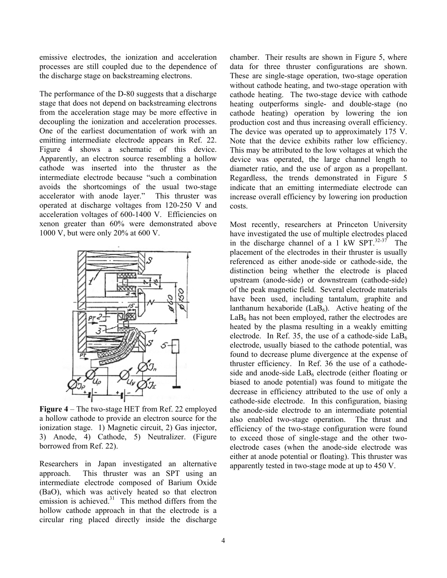emissive electrodes, the ionization and acceleration processes are still coupled due to the dependence of the discharge stage on backstreaming electrons.

The performance of the D-80 suggests that a discharge stage that does not depend on backstreaming electrons from the acceleration stage may be more effective in decoupling the ionization and acceleration processes. One of the earliest documentation of work with an emitting intermediate electrode appears in Ref. 22. Figure 4 shows a schematic of this device. Apparently, an electron source resembling a hollow cathode was inserted into the thruster as the intermediate electrode because "such a combination avoids the shortcomings of the usual two-stage accelerator with anode layer." This thruster was operated at discharge voltages from 120-250 V and acceleration voltages of 600-1400 V. Efficiencies on xenon greater than 60% were demonstrated above 1000 V, but were only 20% at 600 V.



**Figure 4** – The two-stage HET from Ref. 22 employed a hollow cathode to provide an electron source for the ionization stage. 1) Magnetic circuit, 2) Gas injector, 3) Anode, 4) Cathode, 5) Neutralizer. (Figure borrowed from Ref. 22).

Researchers in Japan investigated an alternative approach. This thruster was an SPT using an intermediate electrode composed of Barium Oxide (BaO), which was actively heated so that electron emission is achieved. $31$  This method differs from the hollow cathode approach in that the electrode is a circular ring placed directly inside the discharge

chamber. Their results are shown in Figure 5, where data for three thruster configurations are shown. These are single-stage operation, two-stage operation without cathode heating, and two-stage operation with cathode heating. The two-stage device with cathode heating outperforms single- and double-stage (no cathode heating) operation by lowering the ion production cost and thus increasing overall efficiency. The device was operated up to approximately 175 V. Note that the device exhibits rather low efficiency. This may be attributed to the low voltages at which the device was operated, the large channel length to diameter ratio, and the use of argon as a propellant. Regardless, the trends demonstrated in Figure 5 indicate that an emitting intermediate electrode can increase overall efficiency by lowering ion production costs.

Most recently, researchers at Princeton University have investigated the use of multiple electrodes placed in the discharge channel of a  $1$  kW SPT.<sup>32-37</sup> The placement of the electrodes in their thruster is usually referenced as either anode-side or cathode-side, the distinction being whether the electrode is placed upstream (anode-side) or downstream (cathode-side) of the peak magnetic field. Several electrode materials have been used, including tantalum, graphite and lanthanum hexaboride  $(LaB<sub>6</sub>)$ . Active heating of the  $LaB<sub>6</sub>$  has not been employed, rather the electrodes are heated by the plasma resulting in a weakly emitting electrode. In Ref. 35, the use of a cathode-side  $LaB<sub>6</sub>$ electrode, usually biased to the cathode potential, was found to decrease plume divergence at the expense of thruster efficiency. In Ref. 36 the use of a cathodeside and anode-side  $LaB<sub>6</sub>$  electrode (either floating or biased to anode potential) was found to mitigate the decrease in efficiency attributed to the use of only a cathode-side electrode. In this configuration, biasing the anode-side electrode to an intermediate potential also enabled two-stage operation. The thrust and efficiency of the two-stage configuration were found to exceed those of single-stage and the other twoelectrode cases (when the anode-side electrode was either at anode potential or floating). This thruster was apparently tested in two-stage mode at up to 450 V.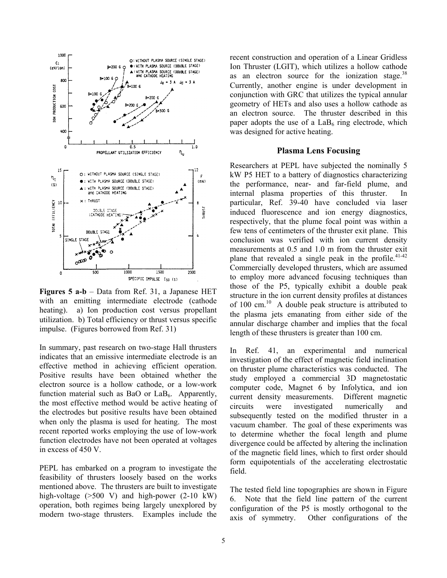

**Figures 5 a-b** – Data from Ref. 31, a Japanese HET with an emitting intermediate electrode (cathode heating). a) Ion production cost versus propellant utilization. b) Total efficiency or thrust versus specific impulse. (Figures borrowed from Ref. 31)

In summary, past research on two-stage Hall thrusters indicates that an emissive intermediate electrode is an effective method in achieving efficient operation. Positive results have been obtained whether the electron source is a hollow cathode, or a low-work function material such as BaO or  $LaB<sub>6</sub>$ . Apparently, the most effective method would be active heating of the electrodes but positive results have been obtained when only the plasma is used for heating. The most recent reported works employing the use of low-work function electrodes have not been operated at voltages in excess of 450 V.

PEPL has embarked on a program to investigate the feasibility of thrusters loosely based on the works mentioned above. The thrusters are built to investigate high-voltage (>500 V) and high-power (2-10 kW) operation, both regimes being largely unexplored by modern two-stage thrusters. Examples include the

recent construction and operation of a Linear Gridless Ion Thruster (LGIT), which utilizes a hollow cathode as an electron source for the ionization stage. $38$ Currently, another engine is under development in conjunction with GRC that utilizes the typical annular geometry of HETs and also uses a hollow cathode as an electron source. The thruster described in this paper adopts the use of a  $LaB<sub>6</sub>$  ring electrode, which was designed for active heating.

### **Plasma Lens Focusing**

Researchers at PEPL have subjected the nominally 5 kW P5 HET to a battery of diagnostics characterizing the performance, near- and far-field plume, and internal plasma properties of this thruster. In particular, Ref. 39-40 have concluded via laser induced fluorescence and ion energy diagnostics, respectively, that the plume focal point was within a few tens of centimeters of the thruster exit plane. This conclusion was verified with ion current density measurements at 0.5 and 1.0 m from the thruster exit plane that revealed a single peak in the profile. $41-42$ Commercially developed thrusters, which are assumed to employ more advanced focusing techniques than those of the P5, typically exhibit a double peak structure in the ion current density profiles at distances of 100 cm. $^{10}$  A double peak structure is attributed to the plasma jets emanating from either side of the annular discharge chamber and implies that the focal length of these thrusters is greater than 100 cm.

In Ref. 41, an experimental and numerical investigation of the effect of magnetic field inclination on thruster plume characteristics was conducted. The study employed a commercial 3D magnetostatic computer code, Magnet 6 by Infolytica, and ion current density measurements. Different magnetic circuits were investigated numerically and subsequently tested on the modified thruster in a vacuum chamber. The goal of these experiments was to determine whether the focal length and plume divergence could be affected by altering the inclination of the magnetic field lines, which to first order should form equipotentials of the accelerating electrostatic field.

The tested field line topographies are shown in Figure 6. Note that the field line pattern of the current configuration of the P5 is mostly orthogonal to the axis of symmetry. Other configurations of the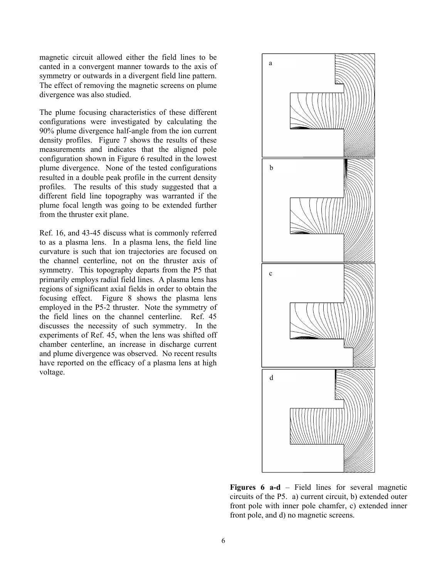magnetic circuit allowed either the field lines to be canted in a convergent manner towards to the axis of symmetry or outwards in a divergent field line pattern. The effect of removing the magnetic screens on plume divergence was also studied.

The plume focusing characteristics of these different configurations were investigated by calculating the 90% plume divergence half-angle from the ion current density profiles. Figure 7 shows the results of these measurements and indicates that the aligned pole configuration shown in Figure 6 resulted in the lowest plume divergence. None of the tested configurations resulted in a double peak profile in the current density profiles. The results of this study suggested that a different field line topography was warranted if the plume focal length was going to be extended further from the thruster exit plane.

Ref. 16, and 43-45 discuss what is commonly referred to as a plasma lens. In a plasma lens, the field line curvature is such that ion trajectories are focused on the channel centerline, not on the thruster axis of symmetry. This topography departs from the P5 that primarily employs radial field lines. A plasma lens has regions of significant axial fields in order to obtain the focusing effect. Figure 8 shows the plasma lens employed in the P5-2 thruster. Note the symmetry of the field lines on the channel centerline. Ref. 45 discusses the necessity of such symmetry. In the experiments of Ref. 45, when the lens was shifted off chamber centerline, an increase in discharge current and plume divergence was observed. No recent results have reported on the efficacy of a plasma lens at high voltage.



**Figures 6 a-d** – Field lines for several magnetic circuits of the P5. a) current circuit, b) extended outer front pole with inner pole chamfer, c) extended inner front pole, and d) no magnetic screens.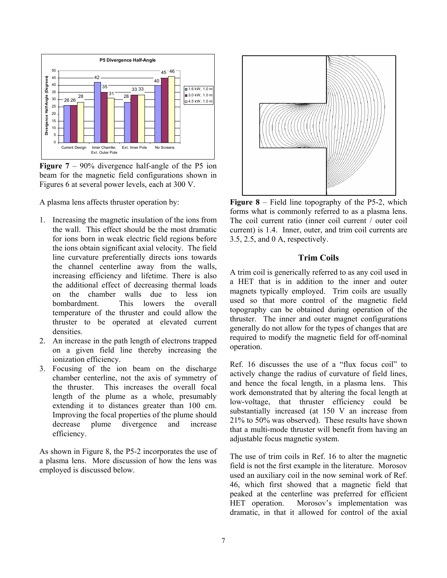

**Figure 7** – 90% divergence half-angle of the P5 ion beam for the magnetic field configurations shown in Figures 6 at several power levels, each at 300 V.

A plasma lens affects thruster operation by:

- 1. Increasing the magnetic insulation of the ions from the wall. This effect should be the most dramatic for ions born in weak electric field regions before the ions obtain significant axial velocity. The field line curvature preferentially directs ions towards the channel centerline away from the walls, increasing efficiency and lifetime. There is also the additional effect of decreasing thermal loads on the chamber walls due to less ion bombardment. This lowers the overall temperature of the thruster and could allow the thruster to be operated at elevated current densities.
- 2. An increase in the path length of electrons trapped on a given field line thereby increasing the ionization efficiency.
- 3. Focusing of the ion beam on the discharge chamber centerline, not the axis of symmetry of the thruster. This increases the overall focal length of the plume as a whole, presumably extending it to distances greater than 100 cm. Improving the focal properties of the plume should decrease plume divergence and increase efficiency.

As shown in Figure 8, the P5-2 incorporates the use of a plasma lens. More discussion of how the lens was employed is discussed below.



**Figure 8** – Field line topography of the P5-2, which forms what is commonly referred to as a plasma lens. The coil current ratio (inner coil current / outer coil current) is 1.4. Inner, outer, and trim coil currents are 3.5, 2.5, and 0 A, respectively.

## **Trim Coils**

A trim coil is generically referred to as any coil used in a HET that is in addition to the inner and outer magnets typically employed. Trim coils are usually used so that more control of the magnetic field topography can be obtained during operation of the thruster. The inner and outer magnet configurations generally do not allow for the types of changes that are required to modify the magnetic field for off-nominal operation.

Ref. 16 discusses the use of a "flux focus coil" to actively change the radius of curvature of field lines, and hence the focal length, in a plasma lens. This work demonstrated that by altering the focal length at low-voltage, that thruster efficiency could be substantially increased (at 150 V an increase from 21% to 50% was observed). These results have shown that a multi-mode thruster will benefit from having an adjustable focus magnetic system.

The use of trim coils in Ref. 16 to alter the magnetic field is not the first example in the literature. Morosov used an auxiliary coil in the now seminal work of Ref. 46, which first showed that a magnetic field that peaked at the centerline was preferred for efficient HET operation. Morosov's implementation was dramatic, in that it allowed for control of the axial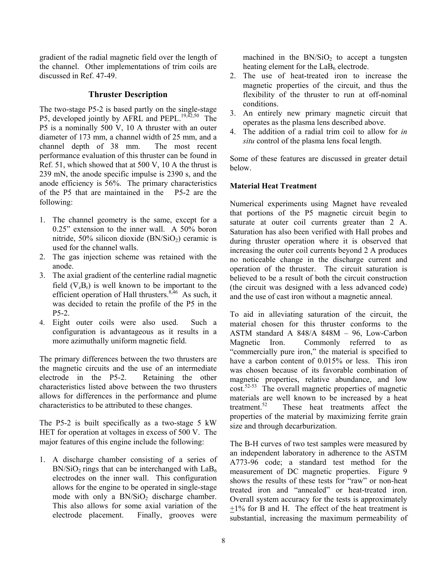gradient of the radial magnetic field over the length of the channel. Other implementations of trim coils are discussed in Ref. 47-49.

## **Thruster Description**

The two-stage P5-2 is based partly on the single-stage P5, developed jointly by AFRL and PEPL.<sup>19,42,50</sup> The P5 is a nominally 500 V, 10 A thruster with an outer diameter of 173 mm, a channel width of 25 mm, and a channel depth of 38 mm. The most recent performance evaluation of this thruster can be found in Ref. 51, which showed that at 500 V, 10 A the thrust is 239 mN, the anode specific impulse is 2390 s, and the anode efficiency is 56%. The primary characteristics of the P5 that are maintained in the P5-2 are the following:

- 1. The channel geometry is the same, except for a 0.25" extension to the inner wall. A 50% boron nitride,  $50\%$  silicon dioxide (BN/SiO<sub>2</sub>) ceramic is used for the channel walls.
- 2. The gas injection scheme was retained with the anode.
- 3. The axial gradient of the centerline radial magnetic field  $(\nabla_z B_r)$  is well known to be important to the efficient operation of Hall thrusters. $8,46$  As such, it was decided to retain the profile of the P5 in the P5-2.
- 4. Eight outer coils were also used. Such a configuration is advantageous as it results in a more azimuthally uniform magnetic field.

The primary differences between the two thrusters are the magnetic circuits and the use of an intermediate electrode in the P5-2. Retaining the other characteristics listed above between the two thrusters allows for differences in the performance and plume characteristics to be attributed to these changes.

The P5-2 is built specifically as a two-stage 5 kW HET for operation at voltages in excess of 500 V. The major features of this engine include the following:

1. A discharge chamber consisting of a series of  $BN/SiO<sub>2</sub>$  rings that can be interchanged with  $LaB<sub>6</sub>$ electrodes on the inner wall. This configuration allows for the engine to be operated in single-stage mode with only a  $BN/SiO<sub>2</sub>$  discharge chamber. This also allows for some axial variation of the electrode placement. Finally, grooves were

machined in the  $BN/SiO<sub>2</sub>$  to accept a tungsten heating element for the  $LaB<sub>6</sub>$  electrode.

- 2. The use of heat-treated iron to increase the magnetic properties of the circuit, and thus the flexibility of the thruster to run at off-nominal conditions.
- 3. An entirely new primary magnetic circuit that operates as the plasma lens described above.
- 4. The addition of a radial trim coil to allow for *in situ* control of the plasma lens focal length.

Some of these features are discussed in greater detail below.

## **Material Heat Treatment**

Numerical experiments using Magnet have revealed that portions of the P5 magnetic circuit begin to saturate at outer coil currents greater than 2 A. Saturation has also been verified with Hall probes and during thruster operation where it is observed that increasing the outer coil currents beyond 2 A produces no noticeable change in the discharge current and operation of the thruster. The circuit saturation is believed to be a result of both the circuit construction (the circuit was designed with a less advanced code) and the use of cast iron without a magnetic anneal.

To aid in alleviating saturation of the circuit, the material chosen for this thruster conforms to the ASTM standard A 848/A 848M – 96, Low-Carbon Magnetic Iron. Commonly referred to as "commercially pure iron," the material is specified to have a carbon content of 0.015% or less. This iron was chosen because of its favorable combination of magnetic properties, relative abundance, and low cost.52-53 The overall magnetic properties of magnetic materials are well known to be increased by a heat treatment.<sup>52</sup> These heat treatments affect the properties of the material by maximizing ferrite grain size and through decarburization.

The B-H curves of two test samples were measured by an independent laboratory in adherence to the ASTM A773-96 code; a standard test method for the measurement of DC magnetic properties. Figure 9 shows the results of these tests for "raw" or non-heat treated iron and "annealed" or heat-treated iron. Overall system accuracy for the tests is approximately  $\pm 1\%$  for B and H. The effect of the heat treatment is substantial, increasing the maximum permeability of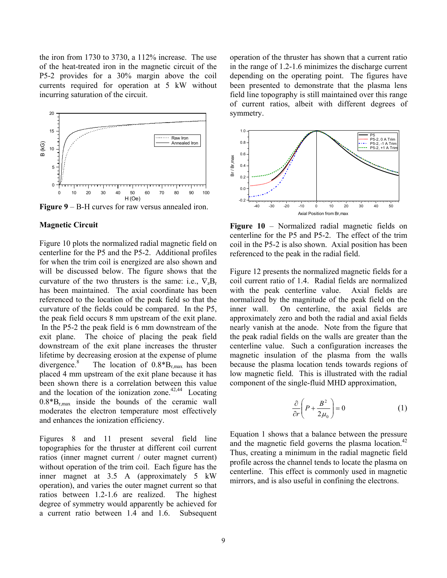the iron from 1730 to 3730, a 112% increase. The use of the heat-treated iron in the magnetic circuit of the P5-2 provides for a 30% margin above the coil currents required for operation at 5 kW without incurring saturation of the circuit.



**Figure 9** – B-H curves for raw versus annealed iron.

#### **Magnetic Circuit**

Figure 10 plots the normalized radial magnetic field on centerline for the P5 and the P5-2. Additional profiles for when the trim coil is energized are also shown and will be discussed below. The figure shows that the curvature of the two thrusters is the same: i.e.,  $\nabla_z B_r$ has been maintained. The axial coordinate has been referenced to the location of the peak field so that the curvature of the fields could be compared. In the P5, the peak field occurs 8 mm upstream of the exit plane. In the P5-2 the peak field is 6 mm downstream of the exit plane. The choice of placing the peak field downstream of the exit plane increases the thruster lifetime by decreasing erosion at the expense of plume divergence.<sup>8</sup> The location of  $0.8*B_{r,max}$  has been placed 4 mm upstream of the exit plane because it has been shown there is a correlation between this value and the location of the ionization zone.<sup>42,44</sup> Locating  $0.8*B<sub>rms</sub>$  inside the bounds of the ceramic wall moderates the electron temperature most effectively and enhances the ionization efficiency.

Figures 8 and 11 present several field line topographies for the thruster at different coil current ratios (inner magnet current / outer magnet current) without operation of the trim coil. Each figure has the inner magnet at 3.5 A (approximately 5 kW operation), and varies the outer magnet current so that ratios between 1.2-1.6 are realized. The highest degree of symmetry would apparently be achieved for a current ratio between 1.4 and 1.6. Subsequent operation of the thruster has shown that a current ratio in the range of 1.2-1.6 minimizes the discharge current depending on the operating point. The figures have been presented to demonstrate that the plasma lens field line topography is still maintained over this range of current ratios, albeit with different degrees of symmetry.



**Figure 10** – Normalized radial magnetic fields on centerline for the P5 and P5-2. The effect of the trim coil in the P5-2 is also shown. Axial position has been referenced to the peak in the radial field.

Figure 12 presents the normalized magnetic fields for a coil current ratio of 1.4. Radial fields are normalized with the peak centerline value. Axial fields are normalized by the magnitude of the peak field on the inner wall. On centerline, the axial fields are approximately zero and both the radial and axial fields nearly vanish at the anode. Note from the figure that the peak radial fields on the walls are greater than the centerline value. Such a configuration increases the magnetic insulation of the plasma from the walls because the plasma location tends towards regions of low magnetic field. This is illustrated with the radial component of the single-fluid MHD approximation,

$$
\frac{\partial}{\partial r}\left(P + \frac{B^2}{2\mu_0}\right) = 0\tag{1}
$$

Equation 1 shows that a balance between the pressure and the magnetic field governs the plasma location.<sup>42</sup> Thus, creating a minimum in the radial magnetic field profile across the channel tends to locate the plasma on centerline. This effect is commonly used in magnetic mirrors, and is also useful in confining the electrons.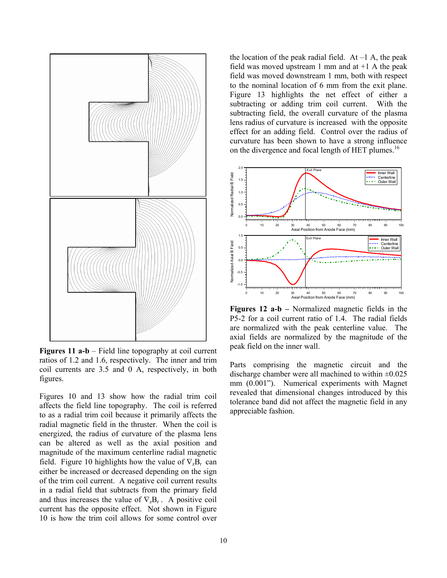

**Figures 11 a-b** – Field line topography at coil current ratios of 1.2 and 1.6, respectively. The inner and trim coil currents are 3.5 and 0 A, respectively, in both figures.

Figures 10 and 13 show how the radial trim coil affects the field line topography. The coil is referred to as a radial trim coil because it primarily affects the radial magnetic field in the thruster. When the coil is energized, the radius of curvature of the plasma lens can be altered as well as the axial position and magnitude of the maximum centerline radial magnetic field. Figure 10 highlights how the value of  $\nabla_z B_r$  can either be increased or decreased depending on the sign of the trim coil current. A negative coil current results in a radial field that subtracts from the primary field and thus increases the value of  $\nabla_{z}B_{r}$ . A positive coil current has the opposite effect. Not shown in Figure 10 is how the trim coil allows for some control over the location of the peak radial field. At  $-1$  A, the peak field was moved upstream 1 mm and at  $+1$  A the peak field was moved downstream 1 mm, both with respect to the nominal location of 6 mm from the exit plane. Figure 13 highlights the net effect of either a subtracting or adding trim coil current. With the subtracting field, the overall curvature of the plasma lens radius of curvature is increased with the opposite effect for an adding field. Control over the radius of curvature has been shown to have a strong influence on the divergence and focal length of HET plumes.<sup>16</sup>



**Figures 12 a-b –** Normalized magnetic fields in the P5-2 for a coil current ratio of 1.4. The radial fields are normalized with the peak centerline value. The axial fields are normalized by the magnitude of the peak field on the inner wall.

Parts comprising the magnetic circuit and the discharge chamber were all machined to within  $\pm 0.025$ mm (0.001"). Numerical experiments with Magnet revealed that dimensional changes introduced by this tolerance band did not affect the magnetic field in any appreciable fashion.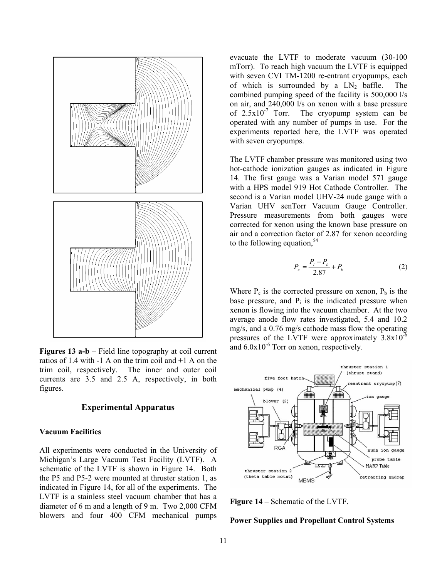

**Figures 13 a-b** – Field line topography at coil current ratios of 1.4 with -1 A on the trim coil and +1 A on the trim coil, respectively. The inner and outer coil currents are 3.5 and 2.5 A, respectively, in both figures.

#### **Experimental Apparatus**

#### **Vacuum Facilities**

All experiments were conducted in the University of Michigan's Large Vacuum Test Facility (LVTF). A schematic of the LVTF is shown in Figure 14. Both the P5 and P5-2 were mounted at thruster station 1, as indicated in Figure 14, for all of the experiments. The LVTF is a stainless steel vacuum chamber that has a diameter of 6 m and a length of 9 m. Two 2,000 CFM blowers and four 400 CFM mechanical pumps

evacuate the LVTF to moderate vacuum (30-100 mTorr). To reach high vacuum the LVTF is equipped with seven CVI TM-1200 re-entrant cryopumps, each of which is surrounded by a  $LN_2$  baffle. The combined pumping speed of the facility is 500,000 l/s on air, and 240,000 l/s on xenon with a base pressure of  $2.5x10^{-7}$  Torr. The cryopump system can be operated with any number of pumps in use. For the experiments reported here, the LVTF was operated with seven cryopumps.

The LVTF chamber pressure was monitored using two hot-cathode ionization gauges as indicated in Figure 14. The first gauge was a Varian model 571 gauge with a HPS model 919 Hot Cathode Controller. The second is a Varian model UHV-24 nude gauge with a Varian UHV senTorr Vacuum Gauge Controller. Pressure measurements from both gauges were corrected for xenon using the known base pressure on air and a correction factor of 2.87 for xenon according to the following equation.<sup>54</sup>

$$
P_c = \frac{P_i - P_b}{2.87} + P_b \tag{2}
$$

Where  $P_c$  is the corrected pressure on xenon,  $P_b$  is the base pressure, and  $P_i$  is the indicated pressure when xenon is flowing into the vacuum chamber. At the two average anode flow rates investigated, 5.4 and 10.2 mg/s, and a 0.76 mg/s cathode mass flow the operating pressures of the LVTF were approximately  $3.8x10^{-6}$ and  $6.0x10^{-6}$  Torr on xenon, respectively.



**Figure 14** – Schematic of the LVTF.

### **Power Supplies and Propellant Control Systems**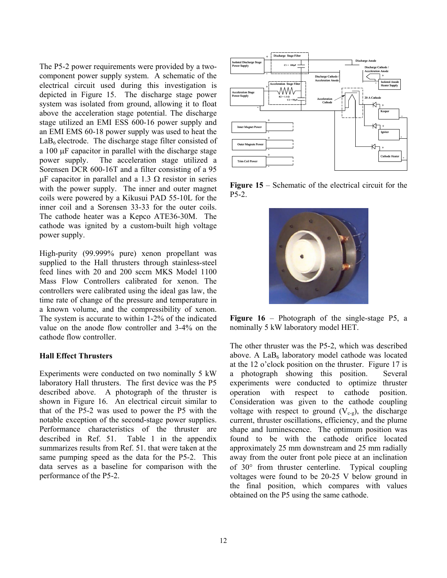The P5-2 power requirements were provided by a twocomponent power supply system. A schematic of the electrical circuit used during this investigation is depicted in Figure 15. The discharge stage power system was isolated from ground, allowing it to float above the acceleration stage potential. The discharge stage utilized an EMI ESS 600-16 power supply and an EMI EMS 60-18 power supply was used to heat the  $LaB<sub>6</sub>$  electrode. The discharge stage filter consisted of a 100 µF capacitor in parallel with the discharge stage power supply. The acceleration stage utilized a Sorensen DCR 600-16T and a filter consisting of a 95  $\mu$ F capacitor in parallel and a 1.3  $\Omega$  resistor in series with the power supply. The inner and outer magnet coils were powered by a Kikusui PAD 55-10L for the inner coil and a Sorensen 33-33 for the outer coils. The cathode heater was a Kepco ATE36-30M. The cathode was ignited by a custom-built high voltage power supply.

High-purity (99.999% pure) xenon propellant was supplied to the Hall thrusters through stainless-steel feed lines with 20 and 200 sccm MKS Model 1100 Mass Flow Controllers calibrated for xenon. The controllers were calibrated using the ideal gas law, the time rate of change of the pressure and temperature in a known volume, and the compressibility of xenon. The system is accurate to within 1-2% of the indicated value on the anode flow controller and 3-4% on the cathode flow controller.

## **Hall Effect Thrusters**

Experiments were conducted on two nominally 5 kW laboratory Hall thrusters. The first device was the P5 described above. A photograph of the thruster is shown in Figure 16. An electrical circuit similar to that of the P5-2 was used to power the P5 with the notable exception of the second-stage power supplies. Performance characteristics of the thruster are described in Ref. 51. Table 1 in the appendix summarizes results from Ref. 51. that were taken at the same pumping speed as the data for the P5-2. This data serves as a baseline for comparison with the performance of the P5-2.



**Figure 15** – Schematic of the electrical circuit for the P5-2.



**Figure 16** – Photograph of the single-stage P5, a nominally 5 kW laboratory model HET.

The other thruster was the P5-2, which was described above. A  $LaB<sub>6</sub>$  laboratory model cathode was located at the 12 o'clock position on the thruster. Figure 17 is a photograph showing this position. Several experiments were conducted to optimize thruster operation with respect to cathode position. Consideration was given to the cathode coupling voltage with respect to ground  $(V_{c-g})$ , the discharge current, thruster oscillations, efficiency, and the plume shape and luminescence. The optimum position was found to be with the cathode orifice located approximately 25 mm downstream and 25 mm radially away from the outer front pole piece at an inclination of 30° from thruster centerline. Typical coupling voltages were found to be 20-25 V below ground in the final position, which compares with values obtained on the P5 using the same cathode.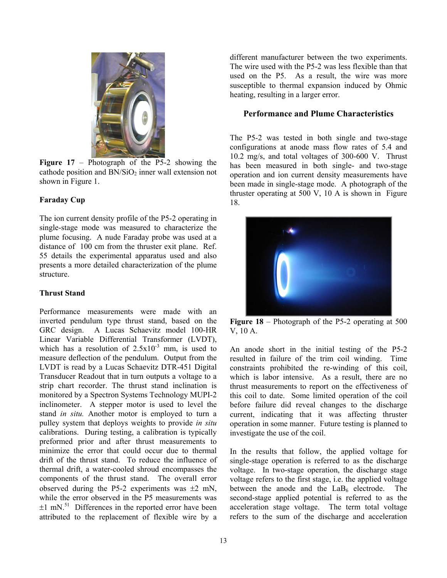

**Figure 17** – Photograph of the P5-2 showing the cathode position and  $BN/SiO<sub>2</sub>$  inner wall extension not shown in Figure 1.

## **Faraday Cup**

The ion current density profile of the P5-2 operating in single-stage mode was measured to characterize the plume focusing. A nude Faraday probe was used at a distance of 100 cm from the thruster exit plane. Ref. 55 details the experimental apparatus used and also presents a more detailed characterization of the plume structure.

## **Thrust Stand**

Performance measurements were made with an inverted pendulum type thrust stand, based on the GRC design. A Lucas Schaevitz model 100-HR Linear Variable Differential Transformer (LVDT), which has a resolution of  $2.5x10^{-3}$  mm, is used to measure deflection of the pendulum. Output from the LVDT is read by a Lucas Schaevitz DTR-451 Digital Transducer Readout that in turn outputs a voltage to a strip chart recorder. The thrust stand inclination is monitored by a Spectron Systems Technology MUPI-2 inclinometer. A stepper motor is used to level the stand *in situ.* Another motor is employed to turn a pulley system that deploys weights to provide *in situ* calibrations. During testing, a calibration is typically preformed prior and after thrust measurements to minimize the error that could occur due to thermal drift of the thrust stand. To reduce the influence of thermal drift, a water-cooled shroud encompasses the components of the thrust stand. The overall error observed during the P5-2 experiments was  $\pm 2$  mN, while the error observed in the P5 measurements was  $\pm 1$  mN.<sup>51</sup> Differences in the reported error have been attributed to the replacement of flexible wire by a

different manufacturer between the two experiments. The wire used with the P5-2 was less flexible than that used on the P5. As a result, the wire was more susceptible to thermal expansion induced by Ohmic heating, resulting in a larger error.

## **Performance and Plume Characteristics**

The P5-2 was tested in both single and two-stage configurations at anode mass flow rates of 5.4 and 10.2 mg/s, and total voltages of 300-600 V. Thrust has been measured in both single- and two-stage operation and ion current density measurements have been made in single-stage mode. A photograph of the thruster operating at 500 V, 10 A is shown in Figure 18.



**Figure 18** – Photograph of the P5-2 operating at 500 V, 10 A.

An anode short in the initial testing of the P5-2 resulted in failure of the trim coil winding. Time constraints prohibited the re-winding of this coil, which is labor intensive. As a result, there are no thrust measurements to report on the effectiveness of this coil to date. Some limited operation of the coil before failure did reveal changes to the discharge current, indicating that it was affecting thruster operation in some manner. Future testing is planned to investigate the use of the coil.

In the results that follow, the applied voltage for single-stage operation is referred to as the discharge voltage. In two-stage operation, the discharge stage voltage refers to the first stage, i.e. the applied voltage between the anode and the  $LaB<sub>6</sub>$  electrode. The second-stage applied potential is referred to as the acceleration stage voltage. The term total voltage refers to the sum of the discharge and acceleration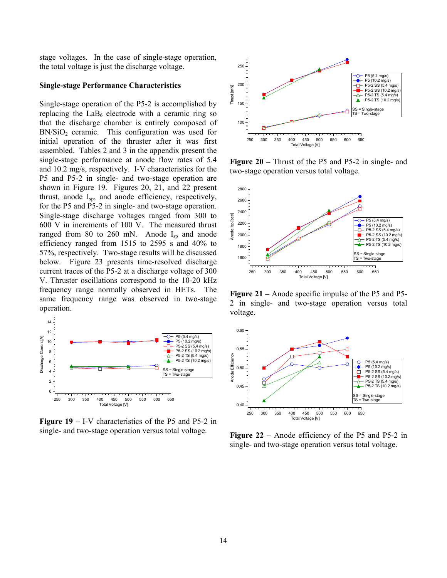stage voltages. In the case of single-stage operation, the total voltage is just the discharge voltage.

#### **Single-stage Performance Characteristics**

Single-stage operation of the P5-2 is accomplished by replacing the  $LaB<sub>6</sub>$  electrode with a ceramic ring so that the discharge chamber is entirely composed of  $BN/SiO<sub>2</sub>$  ceramic. This configuration was used for initial operation of the thruster after it was first assembled. Tables 2 and 3 in the appendix present the single-stage performance at anode flow rates of 5.4 and 10.2 mg/s, respectively. I-V characteristics for the P5 and P5-2 in single- and two-stage operation are shown in Figure 19. Figures 20, 21, and 22 present thrust, anode Isp, and anode efficiency, respectively, for the P5 and P5-2 in single- and two-stage operation. Single-stage discharge voltages ranged from 300 to 600 V in increments of 100 V. The measured thrust ranged from 80 to 260 mN. Anode I<sub>sp</sub> and anode efficiency ranged from 1515 to 2595 s and 40% to 57%, respectively. Two-stage results will be discussed below. Figure 23 presents time-resolved discharge current traces of the P5-2 at a discharge voltage of 300 V. Thruster oscillations correspond to the 10-20 kHz frequency range normally observed in HETs. The same frequency range was observed in two-stage operation.



**Figure 19 –** I-V characteristics of the P5 and P5-2 in single- and two-stage operation versus total voltage.



**Figure 20 –** Thrust of the P5 and P5-2 in single- and two-stage operation versus total voltage.



**Figure 21 –** Anode specific impulse of the P5 and P5- 2 in single- and two-stage operation versus total voltage.



**Figure 22** – Anode efficiency of the P5 and P5-2 in single- and two-stage operation versus total voltage.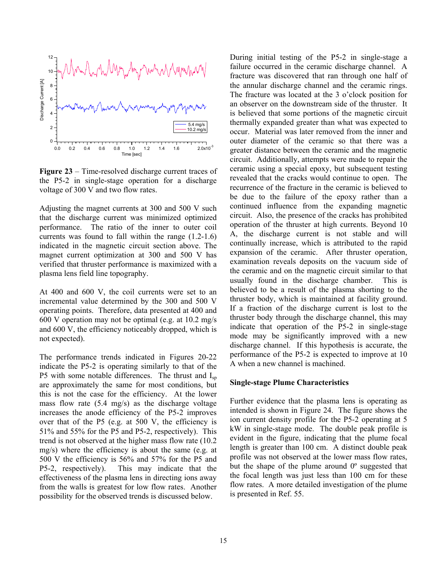

**Figure 23** – Time-resolved discharge current traces of the P5-2 in single-stage operation for a discharge voltage of 300 V and two flow rates.

Adjusting the magnet currents at 300 and 500 V such that the discharge current was minimized optimized performance. The ratio of the inner to outer coil currents was found to fall within the range (1.2-1.6) indicated in the magnetic circuit section above. The magnet current optimization at 300 and 500 V has verified that thruster performance is maximized with a plasma lens field line topography.

At 400 and 600 V, the coil currents were set to an incremental value determined by the 300 and 500 V operating points. Therefore, data presented at 400 and 600 V operation may not be optimal (e.g. at 10.2 mg/s and 600 V, the efficiency noticeably dropped, which is not expected).

The performance trends indicated in Figures 20-22 indicate the P5-2 is operating similarly to that of the P5 with some notable differences. The thrust and  $I_{sn}$ are approximately the same for most conditions, but this is not the case for the efficiency. At the lower mass flow rate (5.4 mg/s) as the discharge voltage increases the anode efficiency of the P5-2 improves over that of the P5 (e.g. at 500 V, the efficiency is 51% and 55% for the P5 and P5-2, respectively). This trend is not observed at the higher mass flow rate (10.2 mg/s) where the efficiency is about the same (e.g. at 500 V the efficiency is 56% and 57% for the P5 and P5-2, respectively). This may indicate that the effectiveness of the plasma lens in directing ions away from the walls is greatest for low flow rates. Another possibility for the observed trends is discussed below.

During initial testing of the P5-2 in single-stage a failure occurred in the ceramic discharge channel. A fracture was discovered that ran through one half of the annular discharge channel and the ceramic rings. The fracture was located at the 3 o'clock position for an observer on the downstream side of the thruster. It is believed that some portions of the magnetic circuit thermally expanded greater than what was expected to occur. Material was later removed from the inner and outer diameter of the ceramic so that there was a greater distance between the ceramic and the magnetic circuit. Additionally, attempts were made to repair the ceramic using a special epoxy, but subsequent testing revealed that the cracks would continue to open. The recurrence of the fracture in the ceramic is believed to be due to the failure of the epoxy rather than a continued influence from the expanding magnetic circuit. Also, the presence of the cracks has prohibited operation of the thruster at high currents. Beyond 10 A, the discharge current is not stable and will continually increase, which is attributed to the rapid expansion of the ceramic. After thruster operation, examination reveals deposits on the vacuum side of the ceramic and on the magnetic circuit similar to that usually found in the discharge chamber. This is believed to be a result of the plasma shorting to the thruster body, which is maintained at facility ground. If a fraction of the discharge current is lost to the thruster body through the discharge channel, this may indicate that operation of the P5-2 in single-stage mode may be significantly improved with a new discharge channel. If this hypothesis is accurate, the performance of the P5-2 is expected to improve at 10 A when a new channel is machined.

#### **Single-stage Plume Characteristics**

Further evidence that the plasma lens is operating as intended is shown in Figure 24. The figure shows the ion current density profile for the P5-2 operating at 5 kW in single-stage mode. The double peak profile is evident in the figure, indicating that the plume focal length is greater than 100 cm. A distinct double peak profile was not observed at the lower mass flow rates, but the shape of the plume around  $0^{\circ}$  suggested that the focal length was just less than 100 cm for these flow rates. A more detailed investigation of the plume is presented in Ref. 55.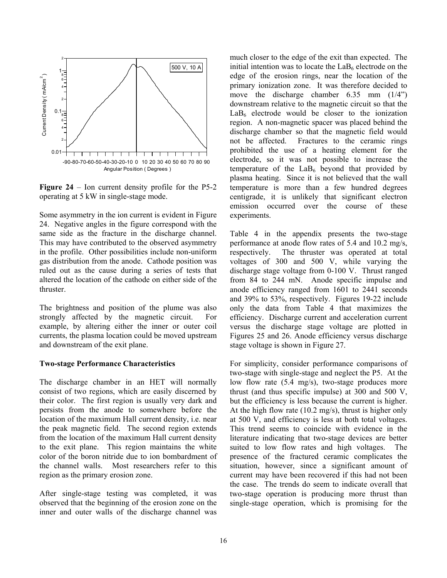

**Figure 24** – Ion current density profile for the P5-2 operating at 5 kW in single-stage mode.

Some asymmetry in the ion current is evident in Figure 24. Negative angles in the figure correspond with the same side as the fracture in the discharge channel. This may have contributed to the observed asymmetry in the profile. Other possibilities include non-uniform gas distribution from the anode. Cathode position was ruled out as the cause during a series of tests that altered the location of the cathode on either side of the thruster.

The brightness and position of the plume was also strongly affected by the magnetic circuit. For example, by altering either the inner or outer coil currents, the plasma location could be moved upstream and downstream of the exit plane.

#### **Two-stage Performance Characteristics**

The discharge chamber in an HET will normally consist of two regions, which are easily discerned by their color. The first region is usually very dark and persists from the anode to somewhere before the location of the maximum Hall current density, i.e. near the peak magnetic field. The second region extends from the location of the maximum Hall current density to the exit plane. This region maintains the white color of the boron nitride due to ion bombardment of the channel walls. Most researchers refer to this region as the primary erosion zone.

After single-stage testing was completed, it was observed that the beginning of the erosion zone on the inner and outer walls of the discharge channel was much closer to the edge of the exit than expected. The initial intention was to locate the  $LaB<sub>6</sub>$  electrode on the edge of the erosion rings, near the location of the primary ionization zone. It was therefore decided to move the discharge chamber 6.35 mm (1/4") downstream relative to the magnetic circuit so that the  $LaB<sub>6</sub>$  electrode would be closer to the ionization region. A non-magnetic spacer was placed behind the discharge chamber so that the magnetic field would not be affected. Fractures to the ceramic rings prohibited the use of a heating element for the electrode, so it was not possible to increase the temperature of the  $LaB<sub>6</sub>$  beyond that provided by plasma heating. Since it is not believed that the wall temperature is more than a few hundred degrees centigrade, it is unlikely that significant electron emission occurred over the course of these experiments.

Table 4 in the appendix presents the two-stage performance at anode flow rates of 5.4 and 10.2 mg/s, respectively. The thruster was operated at total voltages of 300 and 500 V, while varying the discharge stage voltage from 0-100 V. Thrust ranged from 84 to 244 mN. Anode specific impulse and anode efficiency ranged from 1601 to 2441 seconds and 39% to 53%, respectively. Figures 19-22 include only the data from Table 4 that maximizes the efficiency. Discharge current and acceleration current versus the discharge stage voltage are plotted in Figures 25 and 26. Anode efficiency versus discharge stage voltage is shown in Figure 27.

For simplicity, consider performance comparisons of two-stage with single-stage and neglect the P5. At the low flow rate (5.4 mg/s), two-stage produces more thrust (and thus specific impulse) at 300 and 500 V, but the efficiency is less because the current is higher. At the high flow rate (10.2 mg/s), thrust is higher only at 500 V, and efficiency is less at both total voltages. This trend seems to coincide with evidence in the literature indicating that two-stage devices are better suited to low flow rates and high voltages. The presence of the fractured ceramic complicates the situation, however, since a significant amount of current may have been recovered if this had not been the case. The trends do seem to indicate overall that two-stage operation is producing more thrust than single-stage operation, which is promising for the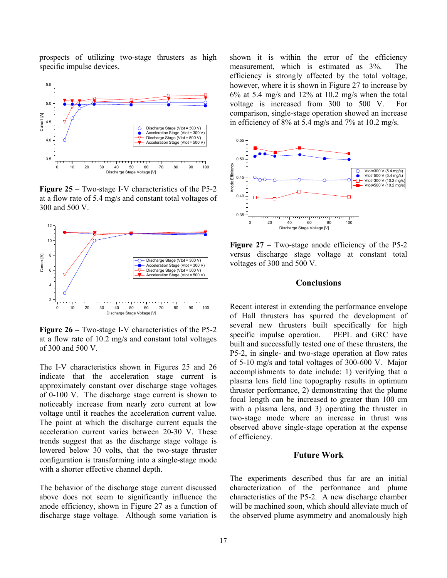prospects of utilizing two-stage thrusters as high specific impulse devices.



**Figure 25 –** Two-stage I-V characteristics of the P5-2 at a flow rate of 5.4 mg/s and constant total voltages of 300 and 500 V.



**Figure 26 –** Two-stage I-V characteristics of the P5-2 at a flow rate of 10.2 mg/s and constant total voltages of 300 and 500 V.

The I-V characteristics shown in Figures 25 and 26 indicate that the acceleration stage current is approximately constant over discharge stage voltages of 0-100 V. The discharge stage current is shown to noticeably increase from nearly zero current at low voltage until it reaches the acceleration current value. The point at which the discharge current equals the acceleration current varies between 20-30 V. These trends suggest that as the discharge stage voltage is lowered below 30 volts, that the two-stage thruster configuration is transforming into a single-stage mode with a shorter effective channel depth.

The behavior of the discharge stage current discussed above does not seem to significantly influence the anode efficiency, shown in Figure 27 as a function of discharge stage voltage. Although some variation is

shown it is within the error of the efficiency measurement, which is estimated as 3%. The efficiency is strongly affected by the total voltage, however, where it is shown in Figure 27 to increase by 6% at 5.4 mg/s and 12% at 10.2 mg/s when the total voltage is increased from 300 to 500 V. For comparison, single-stage operation showed an increase in efficiency of 8% at 5.4 mg/s and 7% at 10.2 mg/s.



**Figure 27** – Two-stage anode efficiency of the P5-2 versus discharge stage voltage at constant total voltages of 300 and 500 V.

## **Conclusions**

Recent interest in extending the performance envelope of Hall thrusters has spurred the development of several new thrusters built specifically for high specific impulse operation. PEPL and GRC have built and successfully tested one of these thrusters, the P5-2, in single- and two-stage operation at flow rates of 5-10 mg/s and total voltages of 300-600 V. Major accomplishments to date include: 1) verifying that a plasma lens field line topography results in optimum thruster performance, 2) demonstrating that the plume focal length can be increased to greater than 100 cm with a plasma lens, and 3) operating the thruster in two-stage mode where an increase in thrust was observed above single-stage operation at the expense of efficiency.

## **Future Work**

The experiments described thus far are an initial characterization of the performance and plume characteristics of the P5-2. A new discharge chamber will be machined soon, which should alleviate much of the observed plume asymmetry and anomalously high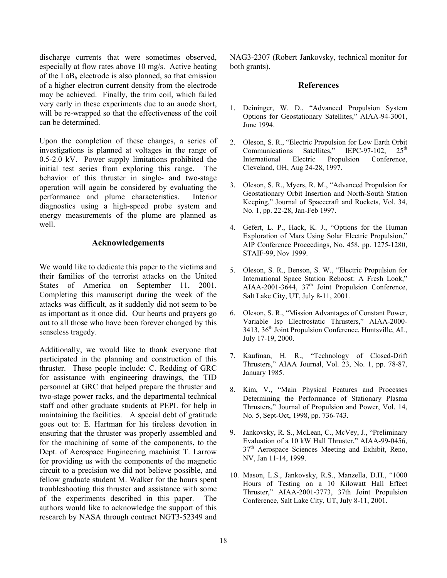discharge currents that were sometimes observed, especially at flow rates above 10 mg/s. Active heating of the  $LaB<sub>6</sub>$  electrode is also planned, so that emission of a higher electron current density from the electrode may be achieved. Finally, the trim coil, which failed very early in these experiments due to an anode short, will be re-wrapped so that the effectiveness of the coil can be determined.

Upon the completion of these changes, a series of investigations is planned at voltages in the range of 0.5-2.0 kV. Power supply limitations prohibited the initial test series from exploring this range. The behavior of this thruster in single- and two-stage operation will again be considered by evaluating the performance and plume characteristics. Interior diagnostics using a high-speed probe system and energy measurements of the plume are planned as well.

## **Acknowledgements**

We would like to dedicate this paper to the victims and their families of the terrorist attacks on the United States of America on September 11, 2001. Completing this manuscript during the week of the attacks was difficult, as it suddenly did not seem to be as important as it once did. Our hearts and prayers go out to all those who have been forever changed by this senseless tragedy.

Additionally, we would like to thank everyone that participated in the planning and construction of this thruster. These people include: C. Redding of GRC for assistance with engineering drawings, the TID personnel at GRC that helped prepare the thruster and two-stage power racks, and the departmental technical staff and other graduate students at PEPL for help in maintaining the facilities. A special debt of gratitude goes out to: E. Hartman for his tireless devotion in ensuring that the thruster was properly assembled and for the machining of some of the components, to the Dept. of Aerospace Engineering machinist T. Larrow for providing us with the components of the magnetic circuit to a precision we did not believe possible, and fellow graduate student M. Walker for the hours spent troubleshooting this thruster and assistance with some of the experiments described in this paper. The authors would like to acknowledge the support of this research by NASA through contract NGT3-52349 and

NAG3-2307 (Robert Jankovsky, technical monitor for both grants).

## **References**

- 1. Deininger, W. D., "Advanced Propulsion System Options for Geostationary Satellites," AIAA-94-3001, June 1994.
- 2. Oleson, S. R., "Electric Propulsion for Low Earth Orbit Communications Satellites," IEPC-97-102, 25<sup>th</sup> International Electric Propulsion Conference, Cleveland, OH, Aug 24-28, 1997.
- 3. Oleson, S. R., Myers, R. M., "Advanced Propulsion for Geostationary Orbit Insertion and North-South Station Keeping," Journal of Spacecraft and Rockets, Vol. 34, No. 1, pp. 22-28, Jan-Feb 1997.
- 4. Gefert, L. P., Hack, K. J., "Options for the Human Exploration of Mars Using Solar Electric Propulsion," AIP Conference Proceedings, No. 458, pp. 1275-1280, STAIF-99, Nov 1999.
- 5. Oleson, S. R., Benson, S. W., "Electric Propulsion for International Space Station Reboost: A Fresh Look," AIAA-2001-3644,  $37<sup>th</sup>$  Joint Propulsion Conference, Salt Lake City, UT, July 8-11, 2001.
- 6. Oleson, S. R., "Mission Advantages of Constant Power, Variable Isp Electrostatic Thrusters," AIAA-2000- 3413, 36<sup>th</sup> Joint Propulsion Conference, Huntsville, AL, July 17-19, 2000.
- 7. Kaufman, H. R., "Technology of Closed-Drift Thrusters," AIAA Journal, Vol. 23, No. 1, pp. 78-87, January 1985.
- 8. Kim, V., "Main Physical Features and Processes Determining the Performance of Stationary Plasma Thrusters," Journal of Propulsion and Power, Vol. 14, No. 5, Sept-Oct, 1998, pp. 736-743.
- 9. Jankovsky, R. S., McLean, C., McVey, J., "Preliminary Evaluation of a 10 kW Hall Thruster," AIAA-99-0456, 37<sup>th</sup> Aerospace Sciences Meeting and Exhibit, Reno, NV, Jan 11-14, 1999.
- 10. Mason, L.S., Jankovsky, R.S., Manzella, D.H., "1000 Hours of Testing on a 10 Kilowatt Hall Effect Thruster," AIAA-2001-3773, 37th Joint Propulsion Conference, Salt Lake City, UT, July 8-11, 2001.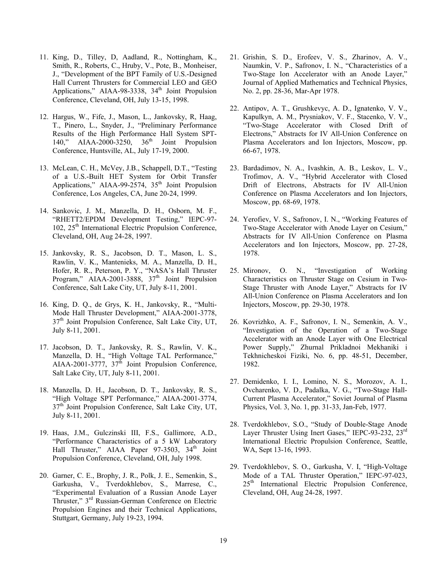- 11. King, D., Tilley, D, Aadland, R., Nottingham, K., Smith, R., Roberts, C., Hruby, V., Pote, B., Monheiser, J., "Development of the BPT Family of U.S.-Designed Hall Current Thrusters for Commercial LEO and GEO Applications," AIAA-98-3338,  $34<sup>th</sup>$  Joint Propulsion Conference, Cleveland, OH, July 13-15, 1998.
- 12. Hargus, W., Fife, J., Mason, L., Jankovsky, R, Haag, T., Pinero, L., Snyder, J., "Preliminary Performance Results of the High Performance Hall System SPT-140," AIAA-2000-3250, 36<sup>th</sup> Joint Propulsion Conference, Huntsville, AL, July 17-19, 2000.
- 13. McLean, C. H., McVey, J.B., Schappell, D.T., "Testing of a U.S.-Built HET System for Orbit Transfer Applications," AIAA-99-2574,  $35<sup>th</sup>$  Joint Propulsion Conference, Los Angeles, CA, June 20-24, 1999.
- 14. Sankovic, J. M., Manzella, D. H., Osborn, M. F., "RHETT2/EPDM Development Testing," IEPC-97- 102, 25<sup>th</sup> International Electric Propulsion Conference, Cleveland, OH, Aug 24-28, 1997.
- 15. Jankovsky, R. S., Jacobson, D. T., Mason, L. S., Rawlin, V. K., Mantenieks, M. A., Manzella, D. H., Hofer, R. R., Peterson, P. Y., "NASA's Hall Thruster Program," AIAA-2001-3888,  $37<sup>th</sup>$  Joint Propulsion Conference, Salt Lake City, UT, July 8-11, 2001.
- 16. King, D. Q., de Grys, K. H., Jankovsky, R., "Multi-Mode Hall Thruster Development," AIAA-2001-3778,  $37<sup>th</sup>$  Joint Propulsion Conference, Salt Lake City, UT, July 8-11, 2001.
- 17. Jacobson, D. T., Jankovsky, R. S., Rawlin, V. K., Manzella, D. H., "High Voltage TAL Performance," AIAA-2001-3777, 37<sup>th</sup> Joint Propulsion Conference, Salt Lake City, UT, July 8-11, 2001.
- 18. Manzella, D. H., Jacobson, D. T., Jankovsky, R. S., "High Voltage SPT Performance," AIAA-2001-3774, 37th Joint Propulsion Conference, Salt Lake City, UT, July 8-11, 2001.
- 19. Haas, J.M., Gulczinski III, F.S., Gallimore, A.D., "Performance Characteristics of a 5 kW Laboratory Hall Thruster," AIAA Paper 97-3503, 34<sup>th</sup> Joint Propulsion Conference, Cleveland, OH, July 1998.
- 20. Garner, C. E., Brophy, J. R., Polk, J. E., Semenkin, S., Garkusha, V., Tverdokhlebov, S., Marrese, C., "Experimental Evaluation of a Russian Anode Layer Thruster," 3rd Russian-German Conference on Electric Propulsion Engines and their Technical Applications, Stuttgart, Germany, July 19-23, 1994.
- 21. Grishin, S. D., Erofeev, V. S., Zharinov, A. V., Naumkin, V. P., Safronov, I. N., "Characteristics of a Two-Stage Ion Accelerator with an Anode Layer," Journal of Applied Mathematics and Technical Physics, No. 2, pp. 28-36, Mar-Apr 1978.
- 22. Antipov, A. T., Grushkevyc, A. D., Ignatenko, V. V., Kapulkyn, A. M., Prysniakov, V. F., Stacenko, V. V., "Two-Stage Accelerator with Closed Drift of Electrons," Abstracts for IV All-Union Conference on Plasma Accelerators and Ion Injectors, Moscow, pp. 66-67, 1978.
- 23. Bardadimov, N. A., Ivashkin, A. B., Leskov, L. V., Trofimov, A. V., "Hybrid Accelerator with Closed Drift of Electrons, Abstracts for IV All-Union Conference on Plasma Accelerators and Ion Injectors, Moscow, pp. 68-69, 1978.
- 24. Yerofiev, V. S., Safronov, I. N., "Working Features of Two-Stage Accelerator with Anode Layer on Cesium," Abstracts for IV All-Union Conference on Plasma Accelerators and Ion Injectors, Moscow, pp. 27-28, 1978.
- 25. Mironov, O. N., "Investigation of Working Characteristics on Thruster Stage on Cesium in Two-Stage Thruster with Anode Layer," Abstracts for IV All-Union Conference on Plasma Accelerators and Ion Injectors, Moscow, pp. 29-30, 1978.
- 26. Kovrizhko, A. F., Safronov, I. N., Semenkin, A. V., "Investigation of the Operation of a Two-Stage Accelerator with an Anode Layer with One Electrical Power Supply," Zhurnal Prikladnoi Mekhaniki i Tekhnicheskoi Fiziki, No. 6, pp. 48-51, December, 1982.
- 27. Demidenko, I. I., Lomino, N. S., Morozov, A. I., Ovcharenko, V. D., Padalka, V. G., "Two-Stage Hall-Current Plasma Accelerator," Soviet Journal of Plasma Physics, Vol. 3, No. 1, pp. 31-33, Jan-Feb, 1977.
- 28. Tverdokhlebov, S.O., "Study of Double-Stage Anode Layer Thruster Using Inert Gases," IEPC-93-232, 23<sup>rd</sup> International Electric Propulsion Conference, Seattle, WA, Sept 13-16, 1993.
- 29. Tverdokhlebov, S. O., Garkusha, V. I, "High-Voltage Mode of a TAL Thruster Operation," IEPC-97-023, 25<sup>th</sup> International Electric Propulsion Conference, Cleveland, OH, Aug 24-28, 1997.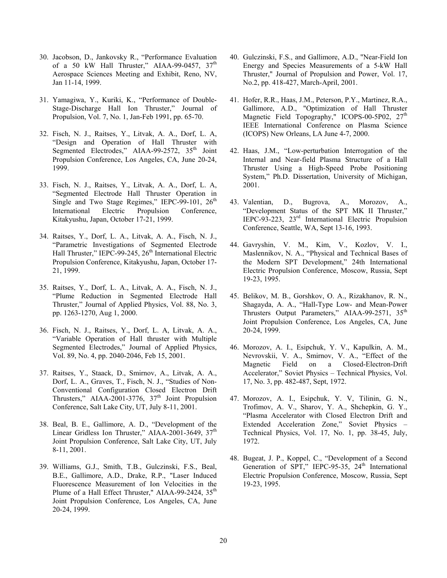- 30. Jacobson, D., Jankovsky R., "Performance Evaluation of a 50 kW Hall Thruster," AIAA-99-0457,  $37<sup>th</sup>$ Aerospace Sciences Meeting and Exhibit, Reno, NV, Jan 11-14, 1999.
- 31. Yamagiwa, Y., Kuriki, K., "Performance of Double-Stage-Discharge Hall Ion Thruster," Journal of Propulsion, Vol. 7, No. 1, Jan-Feb 1991, pp. 65-70.
- 32. Fisch, N. J., Raitses, Y., Litvak, A. A., Dorf, L. A, "Design and Operation of Hall Thruster with Segmented Electrodes," AIAA-99-2572, 35<sup>th</sup> Joint Propulsion Conference, Los Angeles, CA, June 20-24, 1999.
- 33. Fisch, N. J., Raitses, Y., Litvak, A. A., Dorf, L. A, "Segmented Electrode Hall Thruster Operation in Single and Two Stage Regimes," IEPC-99-101,  $26<sup>th</sup>$ International Electric Propulsion Conference, Kitakyushu, Japan, October 17-21, 1999.
- 34. Raitses, Y., Dorf, L. A., Litvak, A. A., Fisch, N. J., "Parametric Investigations of Segmented Electrode Hall Thruster," IEPC-99-245, 26<sup>th</sup> International Electric Propulsion Conference, Kitakyushu, Japan, October 17- 21, 1999.
- 35. Raitses, Y., Dorf, L. A., Litvak, A. A., Fisch, N. J., "Plume Reduction in Segmented Electrode Hall Thruster," Journal of Applied Physics, Vol. 88, No. 3, pp. 1263-1270, Aug 1, 2000.
- 36. Fisch, N. J., Raitses, Y., Dorf, L. A, Litvak, A. A., "Variable Operation of Hall thruster with Multiple Segmented Electrodes," Journal of Applied Physics, Vol. 89, No. 4, pp. 2040-2046, Feb 15, 2001.
- 37. Raitses, Y., Staack, D., Smirnov, A., Litvak, A. A., Dorf, L. A., Graves, T., Fisch, N. J., "Studies of Non-Conventional Configuration Closed Electron Drift Thrusters," AIAA-2001-3776,  $37<sup>th</sup>$  Joint Propulsion Conference, Salt Lake City, UT, July 8-11, 2001.
- 38. Beal, B. E., Gallimore, A. D., "Development of the Linear Gridless Ion Thruster," AIAA-2001-3649,  $37<sup>th</sup>$ Joint Propulsion Conference, Salt Lake City, UT, July 8-11, 2001.
- 39. Williams, G.J., Smith, T.B., Gulczinski, F.S., Beal, B.E., Gallimore, A.D., Drake, R.P., "Laser Induced Fluorescence Measurement of Ion Velocities in the Plume of a Hall Effect Thruster," AIAA-99-2424, 35<sup>th</sup> Joint Propulsion Conference, Los Angeles, CA, June 20-24, 1999.
- 40. Gulczinski, F.S., and Gallimore, A.D., "Near-Field Ion Energy and Species Measurements of a 5-kW Hall Thruster," Journal of Propulsion and Power, Vol. 17, No.2, pp. 418-427, March-April, 2001.
- 41. Hofer, R.R., Haas, J.M., Peterson, P.Y., Martinez, R.A., Gallimore, A.D., "Optimization of Hall Thruster Magnetic Field Topography," ICOPS-00-5P02, 27<sup>th</sup> IEEE International Conference on Plasma Science (ICOPS) New Orleans, LA June 4-7, 2000.
- 42. Haas, J.M., "Low-perturbation Interrogation of the Internal and Near-field Plasma Structure of a Hall Thruster Using a High-Speed Probe Positioning System," Ph.D. Dissertation, University of Michigan, 2001.
- 43. Valentian, D., Bugrova, A., Morozov, A., "Development Status of the SPT MK II Thruster," IEPC-93-223, 23rd International Electric Propulsion Conference, Seattle, WA, Sept 13-16, 1993.
- 44. Gavryshin, V. M., Kim, V., Kozlov, V. I., Maslennikov, N. A., "Physical and Technical Bases of the Modern SPT Development," 24th International Electric Propulsion Conference, Moscow, Russia, Sept 19-23, 1995.
- 45. Belikov, M. B., Gorshkov, O. A., Rizakhanov, R. N., Shagayda, A. A., "Hall-Type Low- and Mean-Power Thrusters Output Parameters," AIAA-99-2571, 35<sup>th</sup> Joint Propulsion Conference, Los Angeles, CA, June 20-24, 1999.
- 46. Morozov, A. I., Esipchuk, Y. V., Kapulkin, A. M., Nevrovskii, V. A., Smirnov, V. A., "Effect of the Magnetic Field on a Closed-Electron-Drift Accelerator," Soviet Physics – Technical Physics, Vol. 17, No. 3, pp. 482-487, Sept, 1972.
- 47. Morozov, A. I., Esipchuk, Y. V, Tilinin, G. N., Trofimov, A. V., Sharov, Y. A., Shchepkin, G. Y., "Plasma Accelerator with Closed Electron Drift and Extended Acceleration Zone," Soviet Physics – Technical Physics, Vol. 17, No. 1, pp. 38-45, July, 1972.
- 48. Bugeat, J. P., Koppel, C., "Development of a Second Generation of SPT," IEPC-95-35,  $24<sup>th</sup>$  International Electric Propulsion Conference, Moscow, Russia, Sept 19-23, 1995.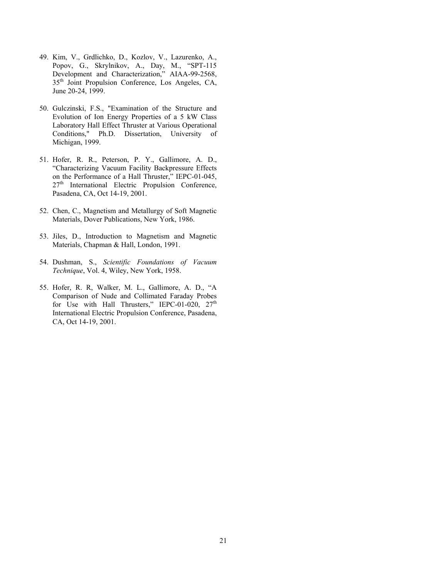- 49. Kim, V., Grdlichko, D., Kozlov, V., Lazurenko, A., Popov, G., Skrylnikov, A., Day, M., "SPT-115 Development and Characterization," AIAA-99-2568, 35<sup>th</sup> Joint Propulsion Conference, Los Angeles, CA, June 20-24, 1999.
- 50. Gulczinski, F.S., "Examination of the Structure and Evolution of Ion Energy Properties of a 5 kW Class Laboratory Hall Effect Thruster at Various Operational Conditions," Ph.D. Dissertation, University of Michigan, 1999.
- 51. Hofer, R. R., Peterson, P. Y., Gallimore, A. D., "Characterizing Vacuum Facility Backpressure Effects on the Performance of a Hall Thruster," IEPC-01-045,  $27<sup>th</sup>$  International Electric Propulsion Conference, Pasadena, CA, Oct 14-19, 2001.
- 52. Chen, C., Magnetism and Metallurgy of Soft Magnetic Materials, Dover Publications, New York, 1986.
- 53. Jiles, D., Introduction to Magnetism and Magnetic Materials, Chapman & Hall, London, 1991.
- 54. Dushman, S., *Scientific Foundations of Vacuum Technique*, Vol. 4, Wiley, New York, 1958.
- 55. Hofer, R. R, Walker, M. L., Gallimore, A. D., "A Comparison of Nude and Collimated Faraday Probes for Use with Hall Thrusters," IEPC-01-020,  $27<sup>th</sup>$ International Electric Propulsion Conference, Pasadena, CA, Oct 14-19, 2001.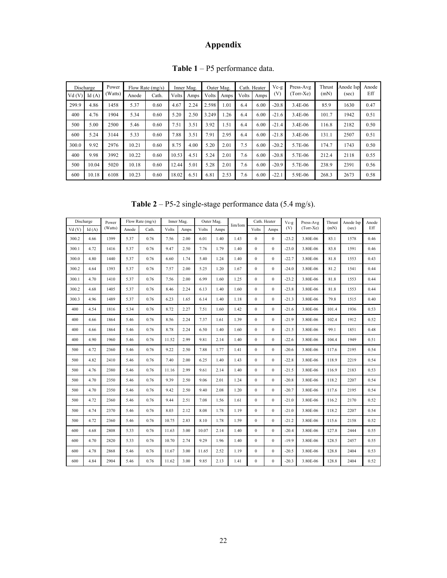## **Appendix**

| Discharge |       | Power   | Flow Rate (mg/s) |       | Inner Mag.    |      | Outer Mag.    |                      | Cath. Heater |      | $Vc-g$  | Press-Avg   | Thrust | Anode Isp | Anode |
|-----------|-------|---------|------------------|-------|---------------|------|---------------|----------------------|--------------|------|---------|-------------|--------|-----------|-------|
| Vd(V)     | Id(A) | (Watts) | Anode            | Cath. | Volts<br>Amps |      | Volts<br>Amps |                      | Volts        | Amps | (V)     | $(Torr-Xe)$ | (mN)   | (sec)     | Eff   |
| 299.9     | 4.86  | 1458    | 5.37             | 0.60  | 4.67          | 2.24 | 2.598         | 1.01                 | 6.4          | 6.00 | $-20.8$ | 3.4E-06     | 85.9   | 1630      | 0.47  |
| 400       | 4.76  | 1904    | 5.34             | 0.60  | 5.20          | 2.50 | 3.249         | .26                  | 6.4          | 6.00 | $-21.6$ | 3.4E-06     | 101.7  | 1942      | 0.51  |
| 500       | 5.00  | 2500    | 5.46             | 0.60  | 7.51          | 3.51 | 3.92          | $\left  .51 \right $ | 6.4          | 6.00 | $-21.4$ | 3.4E-06     | 116.8  | 2182      | 0.50  |
| 600       | 5.24  | 3144    | 5.33             | 0.60  | 7.88          | 3.51 | 7.91          | 2.95                 | 6.4          | 6.00 | $-21.8$ | 3.4E-06     | 131.1  | 2507      | 0.51  |
| 300.0     | 9.92  | 2976    | 10.21            | 0.60  | 8.75          | 4.00 | 5.20          | 2.01                 | 7.5          | 6.00 | $-20.2$ | 5.7E-06     | 174.7  | 1743      | 0.50  |
| 400       | 9.98  | 3992    | 10.22            | 0.60  | 10.53         | 4.51 | 5.24          | 2.01                 | 7.6          | 6.00 | $-20.8$ | 5.7E-06     | 212.4  | 2118      | 0.55  |
| 500       | 10.04 | 5020    | 10.18            | 0.60  | 12.44         | 5.01 | 5.28          | 2.01                 | 7.6          | 6.00 | $-20.9$ | 5.7E-06     | 238.9  | 2391      | 0.56  |
| 600       | 10.18 | 6108    | 10.23            | 0.60  | 18.02         | 6.51 | 6.81          | 2.53                 | 7.6          | 6.00 | $-22.1$ | 5.9E-06     | 268.3  | 2673      | 0.58  |

**Table 1** – P5 performance data.

**Table 2** – P5-2 single-stage performance data (5.4 mg/s).

| Discharge |       | Power   | Flow Rate (mg/s) |       | Inner Mag. |      | Outer Mag. |      | Iim/Iom | Cath. Heater |              | Vc-g    | Press-Avg   | Thrust | Anode Isp | Anode |
|-----------|-------|---------|------------------|-------|------------|------|------------|------|---------|--------------|--------------|---------|-------------|--------|-----------|-------|
| Vd(V)     | Id(A) | (Watts) | Anode            | Cath. | Volts      | Amps | Volts      | Amps |         | Volts        | Amps         | (V)     | $(Torr-Xe)$ | (mN)   | (sec)     | Eff   |
| 300.2     | 4.66  | 1399    | 5.37             | 0.76  | 7.56       | 2.00 | 6.01       | 1.40 | 1.43    | $\mathbf{0}$ | $\mathbf{0}$ | $-23.2$ | 3.80E-06    | 83.1   | 1578      | 0.46  |
| 300.1     | 4.72  | 1416    | 5.37             | 0.76  | 9.47       | 2.50 | 7.76       | 1.79 | 1.40    | $\mathbf{0}$ | $\mathbf{0}$ | $-23.0$ | 3.80E-06    | 83.8   | 1591      | 0.46  |
| 300.0     | 4.80  | 1440    | 5.37             | 0.76  | 6.60       | 1.74 | 5.40       | 1.24 | 1.40    | $\mathbf{0}$ | $\mathbf{0}$ | $-22.7$ | 3.80E-06    | 81.8   | 1553      | 0.43  |
| 300.2     | 4.64  | 1393    | 5.37             | 0.76  | 7.57       | 2.00 | 5.25       | 1.20 | 1.67    | $\mathbf{0}$ | $\mathbf{0}$ | $-24.0$ | 3.80E-06    | 81.2   | 1541      | 0.44  |
| 300.1     | 4.70  | 1410    | 5.37             | 0.76  | 7.56       | 2.00 | 6.99       | 1.60 | 1.25    | $\mathbf{0}$ | $\mathbf{0}$ | $-23.2$ | 3.80E-06    | 81.8   | 1553      | 0.44  |
| 300.2     | 4.68  | 1405    | 5.37             | 0.76  | 8.46       | 2.24 | 6.13       | 1.40 | 1.60    | $\mathbf{0}$ | $\mathbf{0}$ | $-23.8$ | 3.80E-06    | 81.8   | 1553      | 0.44  |
| 300.3     | 4.96  | 1489    | 5.37             | 0.76  | 6.23       | 1.65 | 6.14       | 1.40 | 1.18    | $\mathbf{0}$ | $\mathbf{0}$ | $-21.3$ | 3.80E-06    | 79.8   | 1515      | 0.40  |
| 400       | 4.54  | 1816    | 5.34             | 0.76  | 8.72       | 2.27 | 7.51       | 1.60 | 1.42    | $\mathbf{0}$ | $\mathbf{0}$ | $-21.6$ | 3.80E-06    | 101.4  | 1936      | 0.53  |
| 400       | 4.66  | 1864    | 5.46             | 0.76  | 8.56       | 2.24 | 7.37       | 1.61 | 1.39    | $\mathbf{0}$ | $\mathbf{0}$ | $-21.9$ | 3.80E-06    | 102.4  | 1912      | 0.52  |
| 400       | 4.66  | 1864    | 5.46             | 0.76  | 8.78       | 2.24 | 6.50       | 1.40 | 1.60    | $\mathbf{0}$ | $\mathbf{0}$ | $-21.5$ | 3.80E-06    | 99.1   | 1851      | 0.48  |
| 400       | 4.90  | 1960    | 5.46             | 0.76  | 11.52      | 2.99 | 9.81       | 2.14 | 1.40    | $\mathbf{0}$ | $\mathbf{0}$ | $-22.6$ | 3.80E-06    | 104.4  | 1949      | 0.51  |
| 500       | 4.72  | 2360    | 5.46             | 0.76  | 9.22       | 2.50 | 7.88       | 1.77 | 1.41    | $\Omega$     | $\theta$     | $-20.6$ | 3.80E-06    | 117.6  | 2195      | 0.54  |
| 500       | 4.82  | 2410    | 5.46             | 0.76  | 7.40       | 2.00 | 6.25       | 1.40 | 1.43    | $\Omega$     | $\theta$     | $-22.8$ | 3.80E-06    | 118.9  | 2219      | 0.54  |
| 500       | 4.76  | 2380    | 5.46             | 0.76  | 11.16      | 299  | 9.61       | 2.14 | 1.40    | $\Omega$     | $\theta$     | $-21.5$ | 3.80E-06    | 116.9  | 2183      | 0.53  |
| 500       | 4.70  | 2350    | 5.46             | 0.76  | 9.39       | 2.50 | 9.06       | 2.01 | 1.24    | $\mathbf{0}$ | $\Omega$     | $-20.8$ | 3.80E-06    | 118.2  | 2207      | 0.54  |
| 500       | 4.70  | 2350    | 5.46             | 0.76  | 9.42       | 2.50 | 9.40       | 2.08 | 1.20    | $\theta$     | $\theta$     | $-20.7$ | 3.80E-06    | 117.6  | 2195      | 0.54  |
| 500       | 4.72  | 2360    | 5.46             | 0.76  | 9.44       | 2.51 | 7.08       | 1.56 | 1.61    | $\mathbf{0}$ | $\mathbf{0}$ | $-21.0$ | 3.80E-06    | 116.2  | 2170      | 0.52  |
| 500       | 4.74  | 2370    | 5.46             | 0.76  | 8.03       | 2.12 | 8.08       | 1.78 | 1.19    | $\mathbf{0}$ | $\mathbf{0}$ | $-21.0$ | 3.80E-06    | 118.2  | 2207      | 0.54  |
| 500       | 4.72  | 2360    | 5.46             | 0.76  | 10.75      | 2.83 | 8.10       | 1.78 | 1.59    | $\mathbf{0}$ | $\mathbf{0}$ | $-21.2$ | 3.80E-06    | 115.6  | 2158      | 0.52  |
| 600       | 4.68  | 2808    | 5.33             | 0.76  | 11.63      | 3.00 | 10.07      | 2.14 | 1.40    | $\mathbf{0}$ | $\mathbf{0}$ | $-20.4$ | 3.80E-06    | 127.8  | 2444      | 0.55  |
| 600       | 4.70  | 2820    | 5.33             | 0.76  | 10.70      | 2.74 | 9.29       | 1.96 | 1.40    | $\mathbf{0}$ | $\mathbf{0}$ | $-19.9$ | 3.80E-06    | 128.5  | 2457      | 0.55  |
| 600       | 4.78  | 2868    | 5.46             | 0.76  | 11.67      | 3.00 | 11.65      | 2.52 | 1.19    | $\mathbf{0}$ | $\mathbf{0}$ | $-20.5$ | 3.80E-06    | 128.8  | 2404      | 0.53  |
| 600       | 4.84  | 2904    | 5.46             | 0.76  | 11.62      | 3.00 | 9.85       | 2.13 | 1.41    | $\mathbf{0}$ | $\mathbf{0}$ | $-20.3$ | 3.80E-06    | 128.8  | 2404      | 0.52  |